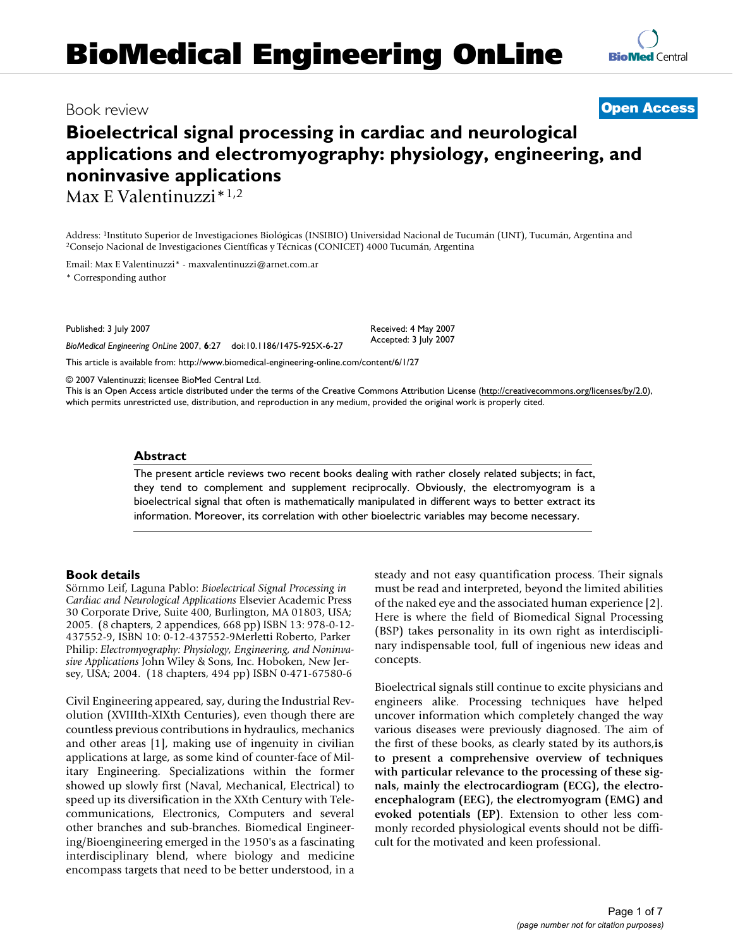# **Bioelectrical signal processing in cardiac and neurological applications and electromyography: physiology, engineering, and noninvasive applications**

Max E Valentinuzzi\*1,2

Address: <sup>1</sup>Instituto Superior de Investigaciones Biológicas (INSIBIO) Universidad Nacional de Tucumán (UNT), Tucumán, Argentina and <sup>2</sup>Consejo Nacional de Investigaciones Científicas y Técnicas (CONICET) 4000 Tucumán, Arg

Email: Max E Valentinuzzi\* - maxvalentinuzzi@arnet.com.ar

\* Corresponding author

Published: 3 July 2007

*BioMedical Engineering OnLine* 2007, **6**:27 doi:10.1186/1475-925X-6-27

Accepted: 3 July 2007

[This article is available from: http://www.biomedical-engineering-online.com/content/6/1/27](http://www.biomedical-engineering-online.com/content/6/1/27)

© 2007 Valentinuzzi; licensee BioMed Central Ltd.

This is an Open Access article distributed under the terms of the Creative Commons Attribution License [\(http://creativecommons.org/licenses/by/2.0\)](http://creativecommons.org/licenses/by/2.0), which permits unrestricted use, distribution, and reproduction in any medium, provided the original work is properly cited.

Received: 4 May 2007

## **Abstract**

The present article reviews two recent books dealing with rather closely related subjects; in fact, they tend to complement and supplement reciprocally. Obviously, the electromyogram is a bioelectrical signal that often is mathematically manipulated in different ways to better extract its information. Moreover, its correlation with other bioelectric variables may become necessary.

## **Book details**

Sörnmo Leif, Laguna Pablo: *Bioelectrical Signal Processing in Cardiac and Neurological Applications* Elsevier Academic Press 30 Corporate Drive, Suite 400, Burlington, MA 01803, USA; 2005. (8 chapters, 2 appendices, 668 pp) ISBN 13: 978-0-12- 437552-9, ISBN 10: 0-12-437552-9Merletti Roberto, Parker Philip: *Electromyography: Physiology, Engineering, and Noninvasive Applications* John Wiley & Sons, Inc. Hoboken, New Jersey, USA; 2004. (18 chapters, 494 pp) ISBN 0-471-67580-6

Civil Engineering appeared, say, during the Industrial Revolution (XVIIIth-XIXth Centuries), even though there are countless previous contributions in hydraulics, mechanics and other areas [1], making use of ingenuity in civilian applications at large, as some kind of counter-face of Military Engineering. Specializations within the former showed up slowly first (Naval, Mechanical, Electrical) to speed up its diversification in the XXth Century with Telecommunications, Electronics, Computers and several other branches and sub-branches. Biomedical Engineering/Bioengineering emerged in the 1950's as a fascinating interdisciplinary blend, where biology and medicine encompass targets that need to be better understood, in a steady and not easy quantification process. Their signals must be read and interpreted, beyond the limited abilities of the naked eye and the associated human experience [2]. Here is where the field of Biomedical Signal Processing (BSP) takes personality in its own right as interdisciplinary indispensable tool, full of ingenious new ideas and concepts.

Bioelectrical signals still continue to excite physicians and engineers alike. Processing techniques have helped uncover information which completely changed the way various diseases were previously diagnosed. The aim of the first of these books, as clearly stated by its authors,**is to present a comprehensive overview of techniques with particular relevance to the processing of these signals, mainly the electrocardiogram (ECG), the electroencephalogram (EEG), the electromyogram (EMG) and evoked potentials (EP)**. Extension to other less commonly recorded physiological events should not be difficult for the motivated and keen professional.

Book review **[Open Access](http://www.biomedcentral.com/info/about/charter/)**

**[BioMed](http://www.biomedcentral.com/)** Central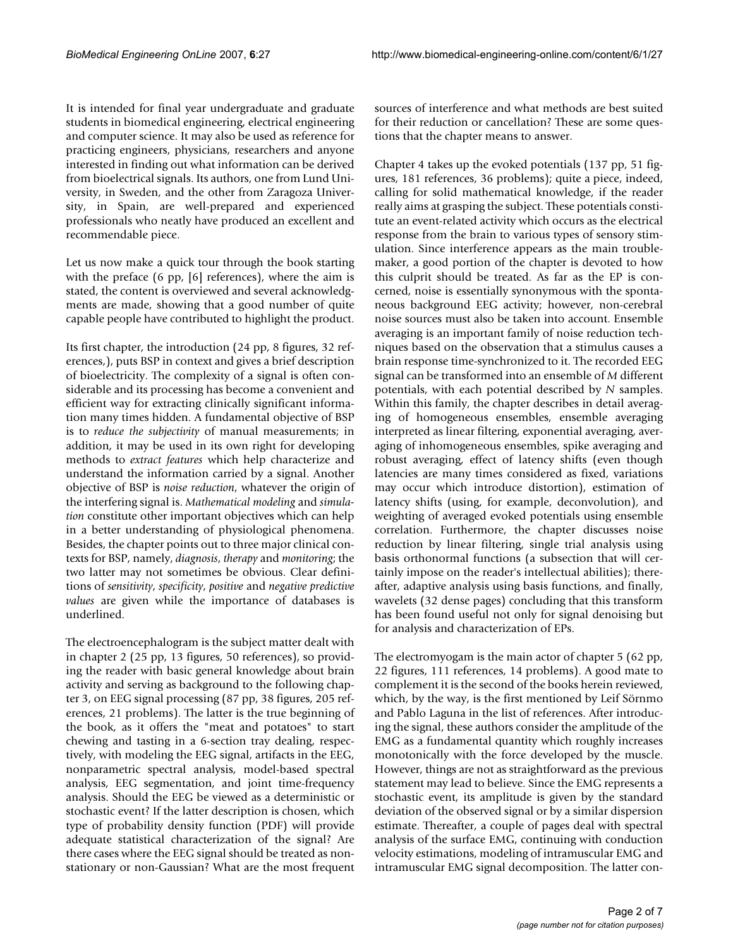It is intended for final year undergraduate and graduate students in biomedical engineering, electrical engineering and computer science. It may also be used as reference for practicing engineers, physicians, researchers and anyone interested in finding out what information can be derived from bioelectrical signals. Its authors, one from Lund University, in Sweden, and the other from Zaragoza University, in Spain, are well-prepared and experienced professionals who neatly have produced an excellent and recommendable piece.

Let us now make a quick tour through the book starting with the preface (6 pp, [6] references), where the aim is stated, the content is overviewed and several acknowledgments are made, showing that a good number of quite capable people have contributed to highlight the product.

Its first chapter, the introduction (24 pp, 8 figures, 32 references,), puts BSP in context and gives a brief description of bioelectricity. The complexity of a signal is often considerable and its processing has become a convenient and efficient way for extracting clinically significant information many times hidden. A fundamental objective of BSP is to *reduce the subjectivity* of manual measurements; in addition, it may be used in its own right for developing methods to *extract features* which help characterize and understand the information carried by a signal. Another objective of BSP is *noise reduction*, whatever the origin of the interfering signal is. *Mathematical modeling* and *simulation* constitute other important objectives which can help in a better understanding of physiological phenomena. Besides, the chapter points out to three major clinical contexts for BSP, namely, *diagnosis*, *therapy* and *monitoring*; the two latter may not sometimes be obvious. Clear definitions of *sensitivity*, *specificity*, *positive* and *negative predictive values* are given while the importance of databases is underlined.

The electroencephalogram is the subject matter dealt with in chapter 2 (25 pp, 13 figures, 50 references), so providing the reader with basic general knowledge about brain activity and serving as background to the following chapter 3, on EEG signal processing (87 pp, 38 figures, 205 references, 21 problems). The latter is the true beginning of the book, as it offers the "meat and potatoes" to start chewing and tasting in a 6-section tray dealing, respectively, with modeling the EEG signal, artifacts in the EEG, nonparametric spectral analysis, model-based spectral analysis, EEG segmentation, and joint time-frequency analysis. Should the EEG be viewed as a deterministic or stochastic event? If the latter description is chosen, which type of probability density function (PDF) will provide adequate statistical characterization of the signal? Are there cases where the EEG signal should be treated as nonstationary or non-Gaussian? What are the most frequent

sources of interference and what methods are best suited for their reduction or cancellation? These are some questions that the chapter means to answer.

Chapter 4 takes up the evoked potentials (137 pp, 51 figures, 181 references, 36 problems); quite a piece, indeed, calling for solid mathematical knowledge, if the reader really aims at grasping the subject. These potentials constitute an event-related activity which occurs as the electrical response from the brain to various types of sensory stimulation. Since interference appears as the main troublemaker, a good portion of the chapter is devoted to how this culprit should be treated. As far as the EP is concerned, noise is essentially synonymous with the spontaneous background EEG activity; however, non-cerebral noise sources must also be taken into account. Ensemble averaging is an important family of noise reduction techniques based on the observation that a stimulus causes a brain response time-synchronized to it. The recorded EEG signal can be transformed into an ensemble of *M* different potentials, with each potential described by *N* samples. Within this family, the chapter describes in detail averaging of homogeneous ensembles, ensemble averaging interpreted as linear filtering, exponential averaging, averaging of inhomogeneous ensembles, spike averaging and robust averaging, effect of latency shifts (even though latencies are many times considered as fixed, variations may occur which introduce distortion), estimation of latency shifts (using, for example, deconvolution), and weighting of averaged evoked potentials using ensemble correlation. Furthermore, the chapter discusses noise reduction by linear filtering, single trial analysis using basis orthonormal functions (a subsection that will certainly impose on the reader's intellectual abilities); thereafter, adaptive analysis using basis functions, and finally, wavelets (32 dense pages) concluding that this transform has been found useful not only for signal denoising but for analysis and characterization of EPs.

The electromyogam is the main actor of chapter 5 (62 pp, 22 figures, 111 references, 14 problems). A good mate to complement it is the second of the books herein reviewed, which, by the way, is the first mentioned by Leif Sörnmo and Pablo Laguna in the list of references. After introducing the signal, these authors consider the amplitude of the EMG as a fundamental quantity which roughly increases monotonically with the force developed by the muscle. However, things are not as straightforward as the previous statement may lead to believe. Since the EMG represents a stochastic event, its amplitude is given by the standard deviation of the observed signal or by a similar dispersion estimate. Thereafter, a couple of pages deal with spectral analysis of the surface EMG, continuing with conduction velocity estimations, modeling of intramuscular EMG and intramuscular EMG signal decomposition. The latter con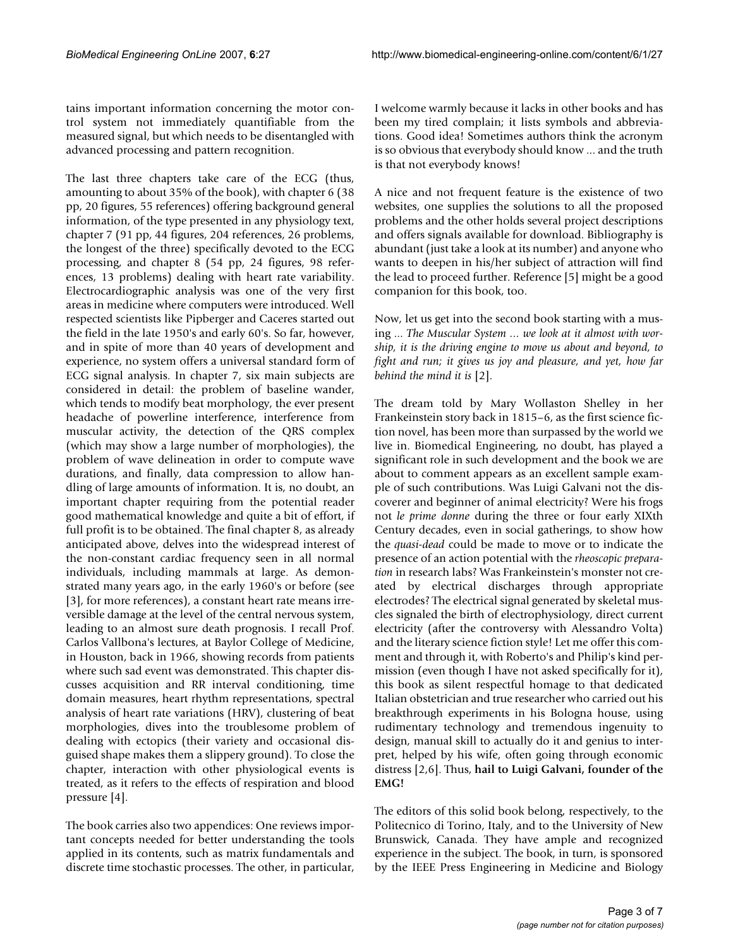tains important information concerning the motor control system not immediately quantifiable from the measured signal, but which needs to be disentangled with advanced processing and pattern recognition.

The last three chapters take care of the ECG (thus, amounting to about 35% of the book), with chapter 6 (38 pp, 20 figures, 55 references) offering background general information, of the type presented in any physiology text, chapter 7 (91 pp, 44 figures, 204 references, 26 problems, the longest of the three) specifically devoted to the ECG processing, and chapter 8 (54 pp, 24 figures, 98 references, 13 problems) dealing with heart rate variability. Electrocardiographic analysis was one of the very first areas in medicine where computers were introduced. Well respected scientists like Pipberger and Caceres started out the field in the late 1950's and early 60's. So far, however, and in spite of more than 40 years of development and experience, no system offers a universal standard form of ECG signal analysis. In chapter 7, six main subjects are considered in detail: the problem of baseline wander, which tends to modify beat morphology, the ever present headache of powerline interference, interference from muscular activity, the detection of the QRS complex (which may show a large number of morphologies), the problem of wave delineation in order to compute wave durations, and finally, data compression to allow handling of large amounts of information. It is, no doubt, an important chapter requiring from the potential reader good mathematical knowledge and quite a bit of effort, if full profit is to be obtained. The final chapter 8, as already anticipated above, delves into the widespread interest of the non-constant cardiac frequency seen in all normal individuals, including mammals at large. As demonstrated many years ago, in the early 1960's or before (see [3], for more references), a constant heart rate means irreversible damage at the level of the central nervous system, leading to an almost sure death prognosis. I recall Prof. Carlos Vallbona's lectures, at Baylor College of Medicine, in Houston, back in 1966, showing records from patients where such sad event was demonstrated. This chapter discusses acquisition and RR interval conditioning, time domain measures, heart rhythm representations, spectral analysis of heart rate variations (HRV), clustering of beat morphologies, dives into the troublesome problem of dealing with ectopics (their variety and occasional disguised shape makes them a slippery ground). To close the chapter, interaction with other physiological events is treated, as it refers to the effects of respiration and blood pressure [4].

The book carries also two appendices: One reviews important concepts needed for better understanding the tools applied in its contents, such as matrix fundamentals and discrete time stochastic processes. The other, in particular,

I welcome warmly because it lacks in other books and has been my tired complain; it lists symbols and abbreviations. Good idea! Sometimes authors think the acronym is so obvious that everybody should know ... and the truth is that not everybody knows!

A nice and not frequent feature is the existence of two websites, one supplies the solutions to all the proposed problems and the other holds several project descriptions and offers signals available for download. Bibliography is abundant (just take a look at its number) and anyone who wants to deepen in his/her subject of attraction will find the lead to proceed further. Reference [5] might be a good companion for this book, too.

Now, let us get into the second book starting with a musing ... *The Muscular System ... we look at it almost with worship, it is the driving engine to move us about and beyond, to fight and run; it gives us joy and pleasure, and yet, how far behind the mind it is* [2].

The dream told by Mary Wollaston Shelley in her Frankeinstein story back in 1815–6, as the first science fiction novel, has been more than surpassed by the world we live in. Biomedical Engineering, no doubt, has played a significant role in such development and the book we are about to comment appears as an excellent sample example of such contributions. Was Luigi Galvani not the discoverer and beginner of animal electricity? Were his frogs not *le prime donne* during the three or four early XIXth Century decades, even in social gatherings, to show how the *quasi-dead* could be made to move or to indicate the presence of an action potential with the *rheoscopic preparation* in research labs? Was Frankeinstein's monster not created by electrical discharges through appropriate electrodes? The electrical signal generated by skeletal muscles signaled the birth of electrophysiology, direct current electricity (after the controversy with Alessandro Volta) and the literary science fiction style! Let me offer this comment and through it, with Roberto's and Philip's kind permission (even though I have not asked specifically for it), this book as silent respectful homage to that dedicated Italian obstetrician and true researcher who carried out his breakthrough experiments in his Bologna house, using rudimentary technology and tremendous ingenuity to design, manual skill to actually do it and genius to interpret, helped by his wife, often going through economic distress [2,6]. Thus, **hail to Luigi Galvani, founder of the EMG!**

The editors of this solid book belong, respectively, to the Politecnico di Torino, Italy, and to the University of New Brunswick, Canada. They have ample and recognized experience in the subject. The book, in turn, is sponsored by the IEEE Press Engineering in Medicine and Biology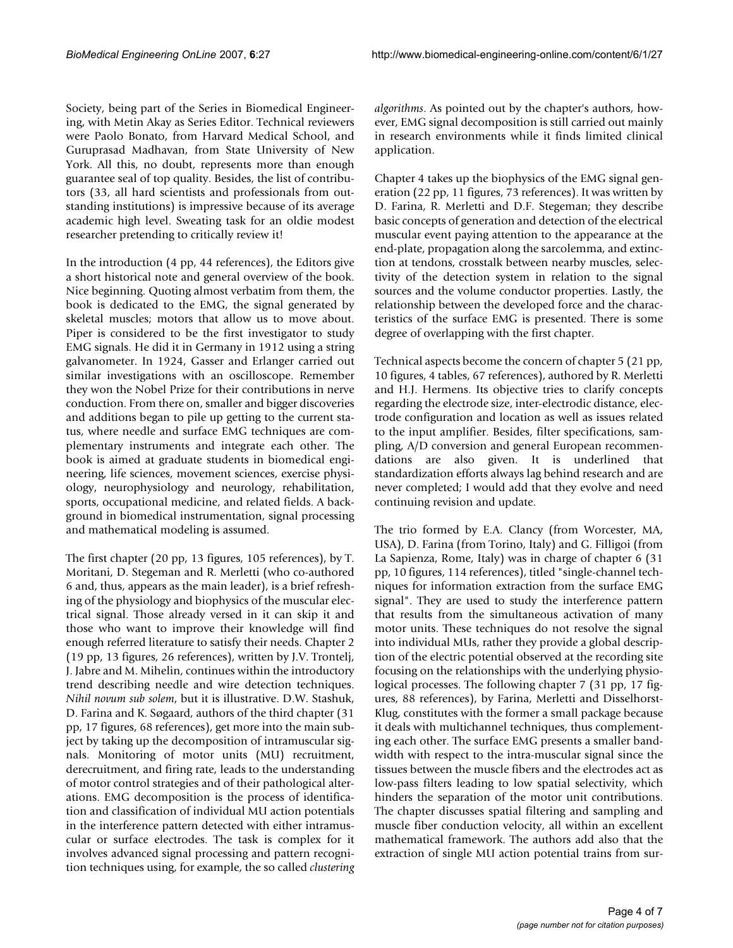Society, being part of the Series in Biomedical Engineering, with Metin Akay as Series Editor. Technical reviewers were Paolo Bonato, from Harvard Medical School, and Guruprasad Madhavan, from State University of New York. All this, no doubt, represents more than enough guarantee seal of top quality. Besides, the list of contributors (33, all hard scientists and professionals from outstanding institutions) is impressive because of its average academic high level. Sweating task for an oldie modest researcher pretending to critically review it!

In the introduction (4 pp, 44 references), the Editors give a short historical note and general overview of the book. Nice beginning. Quoting almost verbatim from them, the book is dedicated to the EMG, the signal generated by skeletal muscles; motors that allow us to move about. Piper is considered to be the first investigator to study EMG signals. He did it in Germany in 1912 using a string galvanometer. In 1924, Gasser and Erlanger carried out similar investigations with an oscilloscope. Remember they won the Nobel Prize for their contributions in nerve conduction. From there on, smaller and bigger discoveries and additions began to pile up getting to the current status, where needle and surface EMG techniques are complementary instruments and integrate each other. The book is aimed at graduate students in biomedical engineering, life sciences, movement sciences, exercise physiology, neurophysiology and neurology, rehabilitation, sports, occupational medicine, and related fields. A background in biomedical instrumentation, signal processing and mathematical modeling is assumed.

The first chapter (20 pp, 13 figures, 105 references), by T. Moritani, D. Stegeman and R. Merletti (who co-authored 6 and, thus, appears as the main leader), is a brief refreshing of the physiology and biophysics of the muscular electrical signal. Those already versed in it can skip it and those who want to improve their knowledge will find enough referred literature to satisfy their needs. Chapter 2 (19 pp, 13 figures, 26 references), written by J.V. Trontelj, J. Jabre and M. Mihelin, continues within the introductory trend describing needle and wire detection techniques. *Nihil novum sub solem*, but it is illustrative. D.W. Stashuk, D. Farina and K. Søgaard, authors of the third chapter (31 pp, 17 figures, 68 references), get more into the main subject by taking up the decomposition of intramuscular signals. Monitoring of motor units (MU) recruitment, derecruitment, and firing rate, leads to the understanding of motor control strategies and of their pathological alterations. EMG decomposition is the process of identification and classification of individual MU action potentials in the interference pattern detected with either intramuscular or surface electrodes. The task is complex for it involves advanced signal processing and pattern recognition techniques using, for example, the so called *clustering* *algorithms*. As pointed out by the chapter's authors, however, EMG signal decomposition is still carried out mainly in research environments while it finds limited clinical application.

Chapter 4 takes up the biophysics of the EMG signal generation (22 pp, 11 figures, 73 references). It was written by D. Farina, R. Merletti and D.F. Stegeman; they describe basic concepts of generation and detection of the electrical muscular event paying attention to the appearance at the end-plate, propagation along the sarcolemma, and extinction at tendons, crosstalk between nearby muscles, selectivity of the detection system in relation to the signal sources and the volume conductor properties. Lastly, the relationship between the developed force and the characteristics of the surface EMG is presented. There is some degree of overlapping with the first chapter.

Technical aspects become the concern of chapter 5 (21 pp, 10 figures, 4 tables, 67 references), authored by R. Merletti and H.J. Hermens. Its objective tries to clarify concepts regarding the electrode size, inter-electrodic distance, electrode configuration and location as well as issues related to the input amplifier. Besides, filter specifications, sampling, A/D conversion and general European recommendations are also given. It is underlined that standardization efforts always lag behind research and are never completed; I would add that they evolve and need continuing revision and update.

The trio formed by E.A. Clancy (from Worcester, MA, USA), D. Farina (from Torino, Italy) and G. Filligoi (from La Sapienza, Rome, Italy) was in charge of chapter 6 (31 pp, 10 figures, 114 references), titled "single-channel techniques for information extraction from the surface EMG signal". They are used to study the interference pattern that results from the simultaneous activation of many motor units. These techniques do not resolve the signal into individual MUs, rather they provide a global description of the electric potential observed at the recording site focusing on the relationships with the underlying physiological processes. The following chapter 7 (31 pp, 17 figures, 88 references), by Farina, Merletti and Disselhorst-Klug, constitutes with the former a small package because it deals with multichannel techniques, thus complementing each other. The surface EMG presents a smaller bandwidth with respect to the intra-muscular signal since the tissues between the muscle fibers and the electrodes act as low-pass filters leading to low spatial selectivity, which hinders the separation of the motor unit contributions. The chapter discusses spatial filtering and sampling and muscle fiber conduction velocity, all within an excellent mathematical framework. The authors add also that the extraction of single MU action potential trains from sur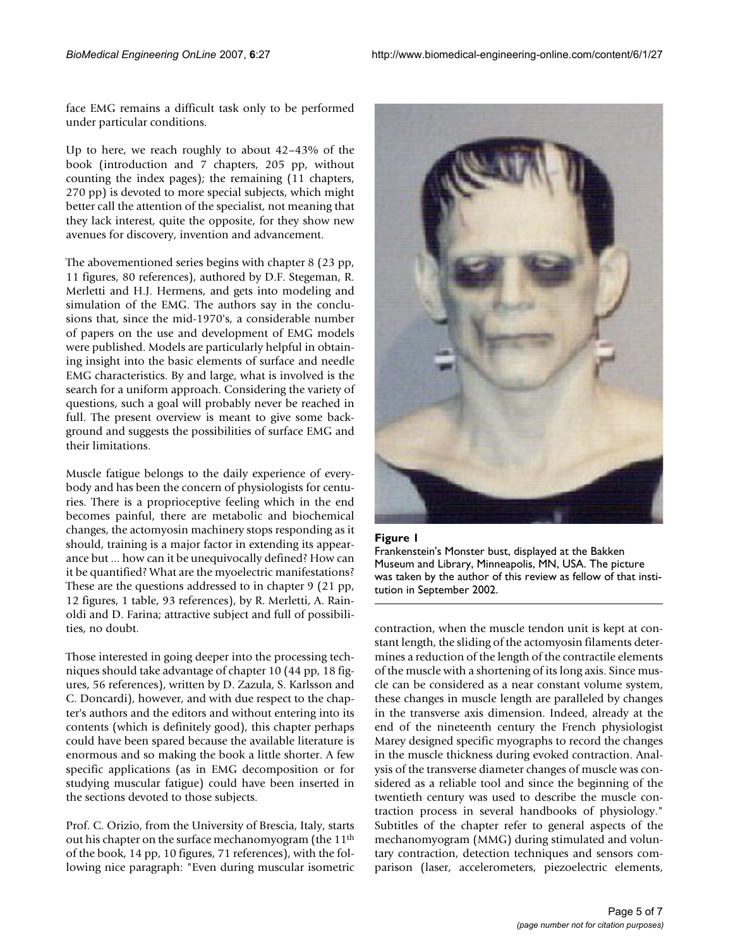face EMG remains a difficult task only to be performed under particular conditions.

Up to here, we reach roughly to about 42–43% of the book (introduction and 7 chapters, 205 pp, without counting the index pages); the remaining (11 chapters, 270 pp) is devoted to more special subjects, which might better call the attention of the specialist, not meaning that they lack interest, quite the opposite, for they show new avenues for discovery, invention and advancement.

The abovementioned series begins with chapter 8 (23 pp, 11 figures, 80 references), authored by D.F. Stegeman, R. Merletti and H.J. Hermens, and gets into modeling and simulation of the EMG. The authors say in the conclusions that, since the mid-1970's, a considerable number of papers on the use and development of EMG models were published. Models are particularly helpful in obtaining insight into the basic elements of surface and needle EMG characteristics. By and large, what is involved is the search for a uniform approach. Considering the variety of questions, such a goal will probably never be reached in full. The present overview is meant to give some background and suggests the possibilities of surface EMG and their limitations.

Muscle fatigue belongs to the daily experience of everybody and has been the concern of physiologists for centuries. There is a proprioceptive feeling which in the end becomes painful, there are metabolic and biochemical changes, the actomyosin machinery stops responding as it should, training is a major factor in extending its appearance but ... how can it be unequivocally defined? How can it be quantified? What are the myoelectric manifestations? These are the questions addressed to in chapter 9 (21 pp, 12 figures, 1 table, 93 references), by R. Merletti, A. Rainoldi and D. Farina; attractive subject and full of possibilities, no doubt.

Those interested in going deeper into the processing techniques should take advantage of chapter 10 (44 pp, 18 figures, 56 references), written by D. Zazula, S. Karlsson and C. Doncardi), however, and with due respect to the chapter's authors and the editors and without entering into its contents (which is definitely good), this chapter perhaps could have been spared because the available literature is enormous and so making the book a little shorter. A few specific applications (as in EMG decomposition or for studying muscular fatigue) could have been inserted in the sections devoted to those subjects.

Prof. C. Orizio, from the University of Brescia, Italy, starts out his chapter on the surface mechanomyogram (the 11th of the book, 14 pp, 10 figures, 71 references), with the following nice paragraph: "Even during muscular isometric



#### Figure 1

Frankenstein's Monster bust, displayed at the Bakken Museum and Library, Minneapolis, MN, USA. The picture was taken by the author of this review as fellow of that institution in September 2002.

contraction, when the muscle tendon unit is kept at constant length, the sliding of the actomyosin filaments determines a reduction of the length of the contractile elements of the muscle with a shortening of its long axis. Since muscle can be considered as a near constant volume system, these changes in muscle length are paralleled by changes in the transverse axis dimension. Indeed, already at the end of the nineteenth century the French physiologist Marey designed specific myographs to record the changes in the muscle thickness during evoked contraction. Analysis of the transverse diameter changes of muscle was considered as a reliable tool and since the beginning of the twentieth century was used to describe the muscle contraction process in several handbooks of physiology." Subtitles of the chapter refer to general aspects of the mechanomyogram (MMG) during stimulated and voluntary contraction, detection techniques and sensors comparison (laser, accelerometers, piezoelectric elements,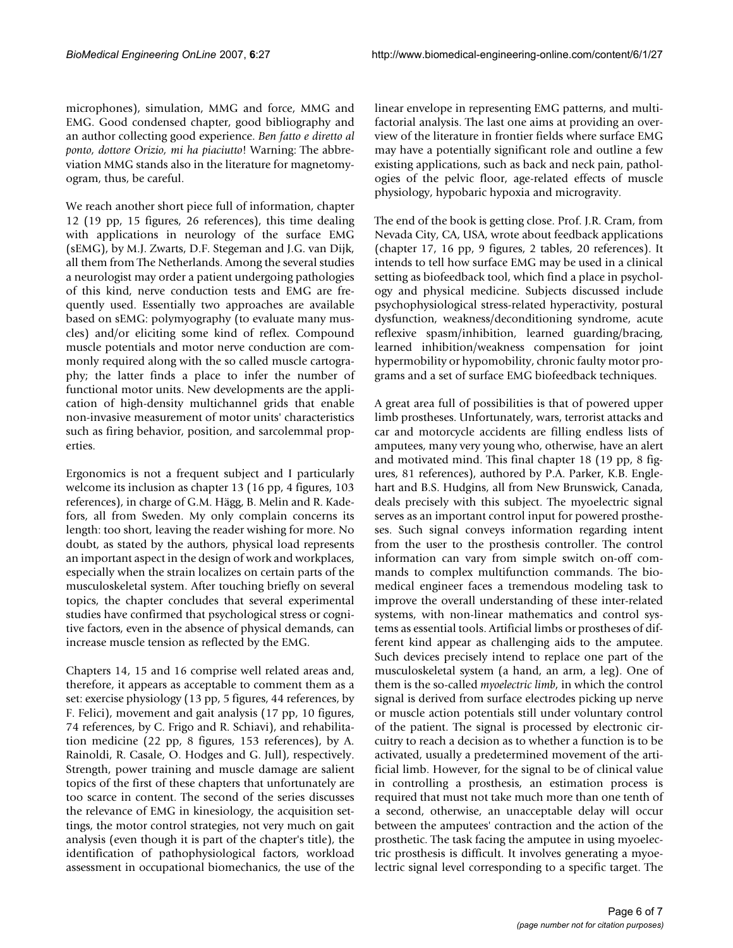microphones), simulation, MMG and force, MMG and EMG. Good condensed chapter, good bibliography and an author collecting good experience. *Ben fatto e diretto al ponto, dottore Orizio, mi ha piaciutto*! Warning: The abbreviation MMG stands also in the literature for magnetomyogram, thus, be careful.

We reach another short piece full of information, chapter 12 (19 pp, 15 figures, 26 references), this time dealing with applications in neurology of the surface EMG (sEMG), by M.J. Zwarts, D.F. Stegeman and J.G. van Dijk, all them from The Netherlands. Among the several studies a neurologist may order a patient undergoing pathologies of this kind, nerve conduction tests and EMG are frequently used. Essentially two approaches are available based on sEMG: polymyography (to evaluate many muscles) and/or eliciting some kind of reflex. Compound muscle potentials and motor nerve conduction are commonly required along with the so called muscle cartography; the latter finds a place to infer the number of functional motor units. New developments are the application of high-density multichannel grids that enable non-invasive measurement of motor units' characteristics such as firing behavior, position, and sarcolemmal properties.

Ergonomics is not a frequent subject and I particularly welcome its inclusion as chapter 13 (16 pp, 4 figures, 103 references), in charge of G.M. Hägg, B. Melin and R. Kadefors, all from Sweden. My only complain concerns its length: too short, leaving the reader wishing for more. No doubt, as stated by the authors, physical load represents an important aspect in the design of work and workplaces, especially when the strain localizes on certain parts of the musculoskeletal system. After touching briefly on several topics, the chapter concludes that several experimental studies have confirmed that psychological stress or cognitive factors, even in the absence of physical demands, can increase muscle tension as reflected by the EMG.

Chapters 14, 15 and 16 comprise well related areas and, therefore, it appears as acceptable to comment them as a set: exercise physiology (13 pp, 5 figures, 44 references, by F. Felici), movement and gait analysis (17 pp, 10 figures, 74 references, by C. Frigo and R. Schiavi), and rehabilitation medicine (22 pp, 8 figures, 153 references), by A. Rainoldi, R. Casale, O. Hodges and G. Jull), respectively. Strength, power training and muscle damage are salient topics of the first of these chapters that unfortunately are too scarce in content. The second of the series discusses the relevance of EMG in kinesiology, the acquisition settings, the motor control strategies, not very much on gait analysis (even though it is part of the chapter's title), the identification of pathophysiological factors, workload assessment in occupational biomechanics, the use of the

linear envelope in representing EMG patterns, and multifactorial analysis. The last one aims at providing an overview of the literature in frontier fields where surface EMG may have a potentially significant role and outline a few existing applications, such as back and neck pain, pathologies of the pelvic floor, age-related effects of muscle physiology, hypobaric hypoxia and microgravity.

The end of the book is getting close. Prof. J.R. Cram, from Nevada City, CA, USA, wrote about feedback applications (chapter 17, 16 pp, 9 figures, 2 tables, 20 references). It intends to tell how surface EMG may be used in a clinical setting as biofeedback tool, which find a place in psychology and physical medicine. Subjects discussed include psychophysiological stress-related hyperactivity, postural dysfunction, weakness/deconditioning syndrome, acute reflexive spasm/inhibition, learned guarding/bracing, learned inhibition/weakness compensation for joint hypermobility or hypomobility, chronic faulty motor programs and a set of surface EMG biofeedback techniques.

A great area full of possibilities is that of powered upper limb prostheses. Unfortunately, wars, terrorist attacks and car and motorcycle accidents are filling endless lists of amputees, many very young who, otherwise, have an alert and motivated mind. This final chapter 18 (19 pp, 8 figures, 81 references), authored by P.A. Parker, K.B. Englehart and B.S. Hudgins, all from New Brunswick, Canada, deals precisely with this subject. The myoelectric signal serves as an important control input for powered prostheses. Such signal conveys information regarding intent from the user to the prosthesis controller. The control information can vary from simple switch on-off commands to complex multifunction commands. The biomedical engineer faces a tremendous modeling task to improve the overall understanding of these inter-related systems, with non-linear mathematics and control systems as essential tools. Artificial limbs or prostheses of different kind appear as challenging aids to the amputee. Such devices precisely intend to replace one part of the musculoskeletal system (a hand, an arm, a leg). One of them is the so-called *myoelectric limb*, in which the control signal is derived from surface electrodes picking up nerve or muscle action potentials still under voluntary control of the patient. The signal is processed by electronic circuitry to reach a decision as to whether a function is to be activated, usually a predetermined movement of the artificial limb. However, for the signal to be of clinical value in controlling a prosthesis, an estimation process is required that must not take much more than one tenth of a second, otherwise, an unacceptable delay will occur between the amputees' contraction and the action of the prosthetic. The task facing the amputee in using myoelectric prosthesis is difficult. It involves generating a myoelectric signal level corresponding to a specific target. The